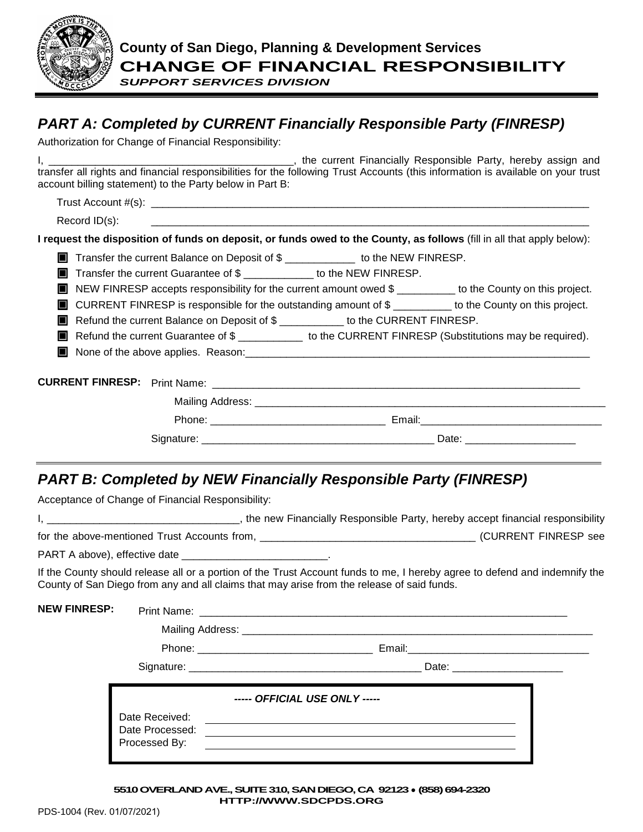

*SUPPORT SERVICES DIVISION*

# *PART A: Completed by CURRENT Financially Responsible Party (FINRESP)*

Authorization for Change of Financial Responsibility:

I, \_\_\_\_\_\_\_\_\_\_\_\_\_\_\_\_\_\_\_\_\_\_\_\_\_\_\_\_\_\_\_\_\_\_\_\_\_\_\_\_\_\_, the current Financially Responsible Party, hereby assign and transfer all rights and financial responsibilities for the following Trust Accounts (this information is available on your trust account billing statement) to the Party below in Part B:

Trust Account #(s): \_\_\_\_\_\_\_\_\_\_\_\_\_\_\_\_\_\_\_\_\_\_\_\_\_\_\_\_\_\_\_\_\_\_\_\_\_\_\_\_\_\_\_\_\_\_\_\_\_\_\_\_\_\_\_\_\_\_\_\_\_\_\_\_\_\_\_\_\_\_\_\_\_\_\_

Record ID(s):

**I request the disposition of funds on deposit, or funds owed to the County, as follows** (fill in all that apply below):

**The Standard Transfer the current Balance on Deposit of \$** \_\_\_\_\_\_\_\_\_\_\_\_\_\_ to the NEW FINRESP.

**The Transfer the current Guarantee of \$** Transfer the current Guarantee of \$ Transfer to the NEW FINRESP.

■ NEW FINRESP accepts responsibility for the current amount owed \$ \_\_\_\_\_\_\_\_\_ to the County on this project.

CURRENT FINRESP is responsible for the outstanding amount of \$ \_\_\_\_\_\_\_\_\_\_ to the County on this project.

Refund the current Balance on Deposit of \$ \_\_\_\_\_\_\_\_\_\_\_\_ to the CURRENT FINRESP.

Refund the current Guarantee of \$ \_\_\_\_\_\_\_\_\_\_\_\_\_\_\_\_ to the CURRENT FINRESP (Substitutions may be required).

 $\blacksquare$  None of the above applies. Reason:

| <b>CURRENT FINRESP:</b> Print Name: | <u> 1990 - Jan Barat, margaretan basar da basar da basa da basa da basa da basa da basa da basa da basa da basa</u>                                                                                                                                                    |
|-------------------------------------|------------------------------------------------------------------------------------------------------------------------------------------------------------------------------------------------------------------------------------------------------------------------|
|                                     |                                                                                                                                                                                                                                                                        |
|                                     | Email: Email: Email: Email: Email: Email: Email: Email: Email: Email: Email: Email: Email: Email: Email: Email: Email: Email: Email: Email: Email: Email: Email: Email: Email: Email: Email: Email: Email: Email: Email: Email<br>Phone: _____________________________ |
|                                     |                                                                                                                                                                                                                                                                        |

## *PART B: Completed by NEW Financially Responsible Party (FINRESP)*

Acceptance of Change of Financial Responsibility:

|                                              | the new Financially Responsible Party, hereby accept financial responsibility |
|----------------------------------------------|-------------------------------------------------------------------------------|
| for the above-mentioned Trust Accounts from, | (CURRENT FINRESP see                                                          |

PART A above), effective date \_\_\_\_\_\_

If the County should release all or a portion of the Trust Account funds to me, I hereby agree to defend and indemnify the County of San Diego from any and all claims that may arise from the release of said funds.

| <b>NEW FINRESP:</b> |                                                    |                               |
|---------------------|----------------------------------------------------|-------------------------------|
|                     |                                                    |                               |
|                     |                                                    |                               |
|                     |                                                    |                               |
|                     | Date Received:<br>Date Processed:<br>Processed By: | ----- OFFICIAL USE ONLY ----- |